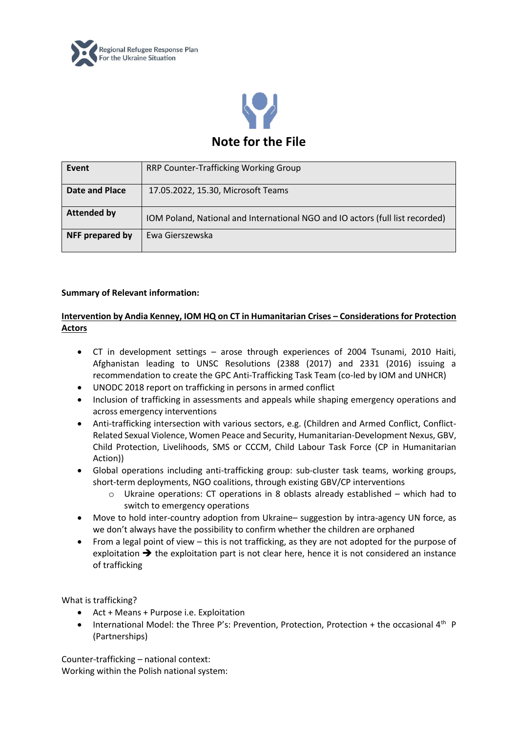



## **Note for the File**

| Event              | RRP Counter-Trafficking Working Group                                         |
|--------------------|-------------------------------------------------------------------------------|
| Date and Place     | 17.05.2022, 15.30, Microsoft Teams                                            |
| <b>Attended by</b> | IOM Poland, National and International NGO and IO actors (full list recorded) |
| NFF prepared by    | Ewa Gierszewska                                                               |

## **Summary of Relevant information:**

## **Intervention by Andia Kenney, IOM HQ on CT in Humanitarian Crises – Considerations for Protection Actors**

- CT in development settings arose through experiences of 2004 Tsunami, 2010 Haiti, Afghanistan leading to UNSC Resolutions (2388 (2017) and 2331 (2016) issuing a recommendation to create the GPC Anti-Trafficking Task Team (co-led by IOM and UNHCR)
- UNODC 2018 report on trafficking in persons in armed conflict
- Inclusion of trafficking in assessments and appeals while shaping emergency operations and across emergency interventions
- Anti-trafficking intersection with various sectors, e.g. (Children and Armed Conflict, Conflict-Related Sexual Violence, Women Peace and Security, Humanitarian-Development Nexus, GBV, Child Protection, Livelihoods, SMS or CCCM, Child Labour Task Force (CP in Humanitarian Action))
- Global operations including anti-trafficking group: sub-cluster task teams, working groups, short-term deployments, NGO coalitions, through existing GBV/CP interventions
	- $\circ$  Ukraine operations: CT operations in 8 oblasts already established which had to switch to emergency operations
- Move to hold inter-country adoption from Ukraine– suggestion by intra-agency UN force, as we don't always have the possibility to confirm whether the children are orphaned
- From a legal point of view this is not trafficking, as they are not adopted for the purpose of exploitation  $\rightarrow$  the exploitation part is not clear here, hence it is not considered an instance of trafficking

What is trafficking?

- Act + Means + Purpose i.e. Exploitation
- International Model: the Three P's: Prevention, Protection, Protection + the occasional  $4<sup>th</sup>$  P (Partnerships)

Counter-trafficking – national context: Working within the Polish national system: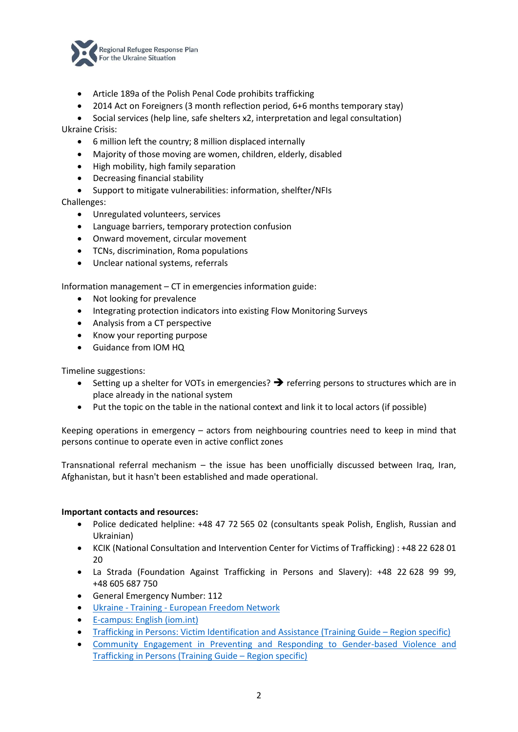

- Article 189a of the Polish Penal Code prohibits trafficking
- 2014 Act on Foreigners (3 month reflection period, 6+6 months temporary stay)
- Social services (help line, safe shelters x2, interpretation and legal consultation)

Ukraine Crisis:

- 6 million left the country; 8 million displaced internally
- Majority of those moving are women, children, elderly, disabled
- High mobility, high family separation
- Decreasing financial stability
- Support to mitigate vulnerabilities: information, shelfter/NFIs

Challenges:

- Unregulated volunteers, services
- Language barriers, temporary protection confusion
- Onward movement, circular movement
- TCNs, discrimination, Roma populations
- Unclear national systems, referrals

Information management – CT in emergencies information guide:

- Not looking for prevalence
- Integrating protection indicators into existing Flow Monitoring Surveys
- Analysis from a CT perspective
- Know your reporting purpose
- Guidance from IOM HQ

Timeline suggestions:

- Setting up a shelter for VOTs in emergencies? ➔ referring persons to structures which are in place already in the national system
- Put the topic on the table in the national context and link it to local actors (if possible)

Keeping operations in emergency – actors from neighbouring countries need to keep in mind that persons continue to operate even in active conflict zones

Transnational referral mechanism – the issue has been unofficially discussed between Iraq, Iran, Afghanistan, but it hasn't been established and made operational.

## **Important contacts and resources:**

- Police dedicated helpline: +48 47 72 565 02 (consultants speak Polish, English, Russian and Ukrainian)
- KCIK (National Consultation and Intervention Center for Victims of Trafficking) : +48 22 628 01  $20$
- La Strada (Foundation Against Trafficking in Persons and Slavery): +48 22 628 99 99, +48 605 687 750
- General Emergency Number: 112
- Ukraine Training [European Freedom Network](https://www.europeanfreedomnetwork.org/ukraine-training/)
- [E-campus: English \(iom.int\)](https://www.ecampus.iom.int/course/index.php?categoryid=55)
- [Trafficking in Persons: Victim Identification and Assistance \(Training Guide](https://publications.iom.int/books/trafficking-persons-victim-identification-and-assistance-training-guide)  Region specific)
- [Community Engagement in Preventing and Responding to Gender-based Violence and](https://publications.iom.int/books/community-engagement-preventing-and-responding-gender-based-violence-and-trafficking-persons)  [Trafficking in Persons \(Training Guide](https://publications.iom.int/books/community-engagement-preventing-and-responding-gender-based-violence-and-trafficking-persons) – Region specific)